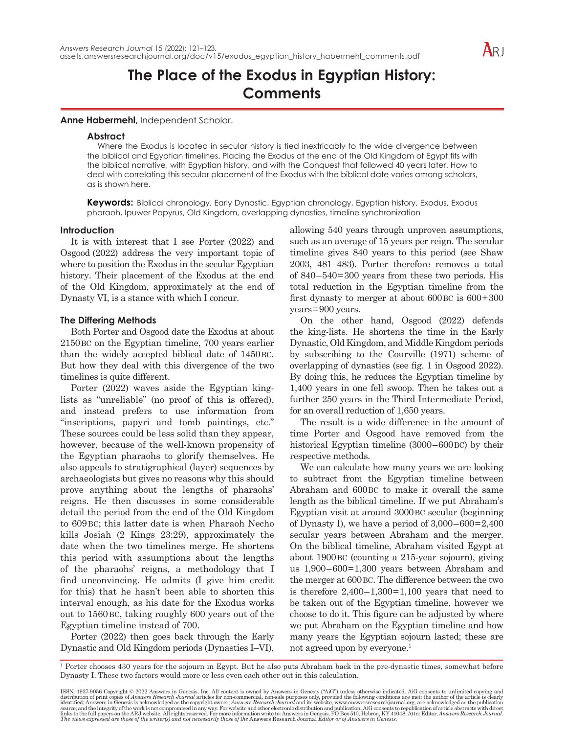

# **The Place of the Exodus in Egyptian History: Comments**

**Anne Habermehl,** Independent Scholar.

## **Abstract**

Where the Exodus is located in secular history is tied inextricably to the wide divergence between the biblical and Egyptian timelines. Placing the Exodus at the end of the Old Kingdom of Egypt fits with the biblical narrative, with Egyptian history, and with the Conquest that followed 40 years later. How to deal with correlating this secular placement of the Exodus with the biblical date varies among scholars, as is shown here.

**Keywords:** Biblical chronology, Early Dynastic, Egyptian chronology, Egyptian history, Exodus, Exodus pharaoh, Ipuwer Papyrus, Old Kingdom, overlapping dynasties, timeline synchronization

## **Introduction**

It is with interest that I see Porter (2022) and Osgood (2022) address the very important topic of where to position the Exodus in the secular Egyptian history. Their placement of the Exodus at the end of the Old Kingdom, approximately at the end of Dynasty VI, is a stance with which I concur.

# **The Differing Methods**

Both Porter and Osgood date the Exodus at about 2150BC on the Egyptian timeline, 700 years earlier than the widely accepted biblical date of 1450BC. But how they deal with this divergence of the two timelines is quite different.

Porter (2022) waves aside the Egyptian kinglists as "unreliable" (no proof of this is offered), and instead prefers to use information from "inscriptions, papyri and tomb paintings, etc." These sources could be less solid than they appear, however, because of the well-known propensity of the Egyptian pharaohs to glorify themselves. He also appeals to stratigraphical (layer) sequences by archaeologists but gives no reasons why this should prove anything about the lengths of pharaohs' reigns. He then discusses in some considerable detail the period from the end of the Old Kingdom to 609BC; this latter date is when Pharaoh Necho kills Josiah (2 Kings 23:29), approximately the date when the two timelines merge. He shortens this period with assumptions about the lengths of the pharaohs' reigns, a methodology that I find unconvincing. He admits (I give him credit for this) that he hasn't been able to shorten this interval enough, as his date for the Exodus works out to 1560BC, taking roughly 600 years out of the Egyptian timeline instead of 700.

Porter (2022) then goes back through the Early Dynastic and Old Kingdom periods (Dynasties I–VI), allowing 540 years through unproven assumptions, such as an average of 15 years per reign. The secular timeline gives 840 years to this period (see Shaw 2003, 481–483). Porter therefore removes a total of 840–540=300 years from these two periods. His total reduction in the Egyptian timeline from the first dynasty to merger at about  $600BC$  is  $600+300$ years=900 years.

On the other hand, Osgood (2022) defends the king-lists. He shortens the time in the Early Dynastic, Old Kingdom, and Middle Kingdom periods by subscribing to the Courville (1971) scheme of overlapping of dynasties (see fig. 1 in Osgood 2022). By doing this, he reduces the Egyptian timeline by 1,400 years in one fell swoop. Then he takes out a further 250 years in the Third Intermediate Period, for an overall reduction of 1,650 years.

The result is a wide difference in the amount of time Porter and Osgood have removed from the historical Egyptian timeline (3000–600BC) by their respective methods.

We can calculate how many years we are looking to subtract from the Egyptian timeline between Abraham and 600BC to make it overall the same length as the biblical timeline. If we put Abraham's Egyptian visit at around 3000BC secular (beginning of Dynasty I), we have a period of  $3,000-600=2,400$ secular years between Abraham and the merger. On the biblical timeline, Abraham visited Egypt at about 1900BC (counting a 215-year sojourn), giving us 1,900–600=1,300 years between Abraham and the merger at 600BC. The difference between the two is therefore  $2,400-1,300=1,100$  years that need to be taken out of the Egyptian timeline, however we choose to do it. This figure can be adjusted by where we put Abraham on the Egyptian timeline and how many years the Egyptian sojourn lasted; these are not agreed upon by everyone.<sup>1</sup>

1 Porter chooses 430 years for the sojourn in Egypt. But he also puts Abraham back in the pre-dynastic times, somewhat before Dynasty I. These two factors would more or less even each other out in this calculation.

ISSN: 1937-9056 Copyright © 2022 Answers in Genesis, Inc. All content is owned by Answers in Genesis ("AiG") unless otherwise indicated. AiG consents to unlimited copying and distribution of print copies of *Answers* in G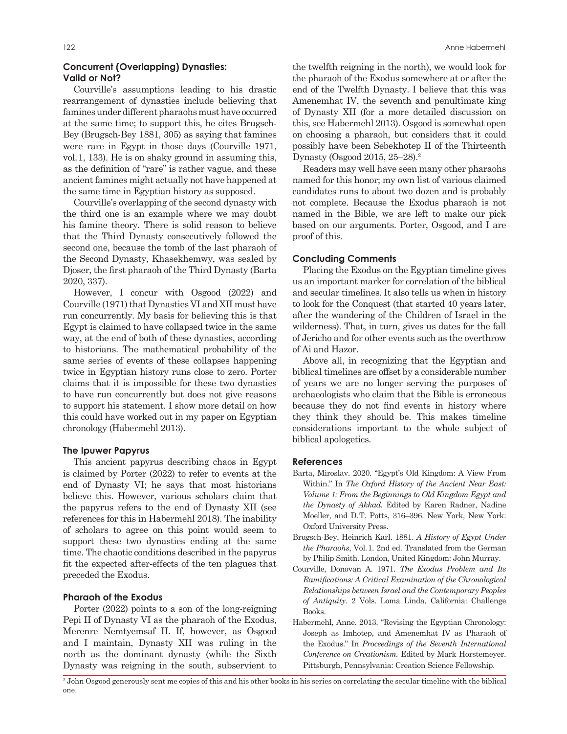# **Concurrent (Overlapping) Dynasties: Valid or Not?**

Courville's assumptions leading to his drastic rearrangement of dynasties include believing that famines under different pharaohs must have occurred at the same time; to support this, he cites Brugsch-Bey (Brugsch-Bey 1881, 305) as saying that famines were rare in Egypt in those days (Courville 1971, vol.1, 133). He is on shaky ground in assuming this, as the definition of "rare" is rather vague, and these ancient famines might actually not have happened at the same time in Egyptian history as supposed.

Courville's overlapping of the second dynasty with the third one is an example where we may doubt his famine theory. There is solid reason to believe that the Third Dynasty consecutively followed the second one, because the tomb of the last pharaoh of the Second Dynasty, Khasekhemwy, was sealed by Djoser, the first pharaoh of the Third Dynasty (Barta 2020, 337).

However, I concur with Osgood (2022) and Courville (1971) that Dynasties VI and XII must have run concurrently. My basis for believing this is that Egypt is claimed to have collapsed twice in the same way, at the end of both of these dynasties, according to historians. The mathematical probability of the same series of events of these collapses happening twice in Egyptian history runs close to zero. Porter claims that it is impossible for these two dynasties to have run concurrently but does not give reasons to support his statement. I show more detail on how this could have worked out in my paper on Egyptian chronology (Habermehl 2013).

## **The Ipuwer Papyrus**

This ancient papyrus describing chaos in Egypt is claimed by Porter (2022) to refer to events at the end of Dynasty VI; he says that most historians believe this. However, various scholars claim that the papyrus refers to the end of Dynasty XII (see references for this in Habermehl 2018). The inability of scholars to agree on this point would seem to support these two dynasties ending at the same time. The chaotic conditions described in the papyrus fit the expected after-effects of the ten plagues that preceded the Exodus.

## **Pharaoh of the Exodus**

Porter (2022) points to a son of the long-reigning Pepi II of Dynasty VI as the pharaoh of the Exodus, Merenre Nemtyemsaf II. If, however, as Osgood and I maintain, Dynasty XII was ruling in the north as the dominant dynasty (while the Sixth Dynasty was reigning in the south, subservient to the twelfth reigning in the north), we would look for the pharaoh of the Exodus somewhere at or after the end of the Twelfth Dynasty. I believe that this was Amenemhat IV, the seventh and penultimate king of Dynasty XII (for a more detailed discussion on this, see Habermehl 2013). Osgood is somewhat open on choosing a pharaoh, but considers that it could possibly have been Sebekhotep II of the Thirteenth Dynasty (Osgood 2015, 25–28).<sup>2</sup>

Readers may well have seen many other pharaohs named for this honor; my own list of various claimed candidates runs to about two dozen and is probably not complete. Because the Exodus pharaoh is not named in the Bible, we are left to make our pick based on our arguments. Porter, Osgood, and I are proof of this.

### **Concluding Comments**

Placing the Exodus on the Egyptian timeline gives us an important marker for correlation of the biblical and secular timelines. It also tells us when in history to look for the Conquest (that started 40 years later, after the wandering of the Children of Israel in the wilderness). That, in turn, gives us dates for the fall of Jericho and for other events such as the overthrow of Ai and Hazor.

Above all, in recognizing that the Egyptian and biblical timelines are offset by a considerable number of years we are no longer serving the purposes of archaeologists who claim that the Bible is erroneous because they do not find events in history where they think they should be. This makes timeline considerations important to the whole subject of biblical apologetics.

#### **References**

- Barta, Miroslav. 2020. "Egypt's Old Kingdom: A View From Within." In *The Oxford History of the Ancient Near East: Volume 1: From the Beginnings to Old Kingdom Egypt and the Dynasty of Akkad.* Edited by Karen Radner, Nadine Moeller, and D.T. Potts, 316–396. New York, New York: Oxford University Press.
- Brugsch-Bey, Heinrich Karl. 1881. *A History of Egypt Under the Pharaohs*, Vol.1. 2nd ed. Translated from the German by Philip Smith. London, United Kingdom: John Murray.
- Courville, Donovan A. 1971. *The Exodus Problem and Its Ramifications: A Critical Examination of the Chronological Relationships between Israel and the Contemporary Peoples of Antiquity*. 2 Vols. Loma Linda, California: Challenge Books.
- Habermehl, Anne. 2013. "Revising the Egyptian Chronology: Joseph as Imhotep, and Amenemhat IV as Pharaoh of the Exodus." In *Proceedings of the Seventh International Conference on Creationism.* Edited by Mark Horstemeyer. Pittsburgh, Pennsylvania: Creation Science Fellowship.

2 John Osgood generously sent me copies of this and his other books in his series on correlating the secular timeline with the biblical one.